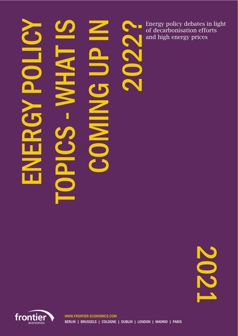# ERGY POLICY SI TAHW-NING UP IN TOPIC<sub>S</sub>  $\ge$

Energy policy debates in light<br>of decarbonisation efforts<br>and high energy prices of decarbonisation efforts and high energy prices

2021

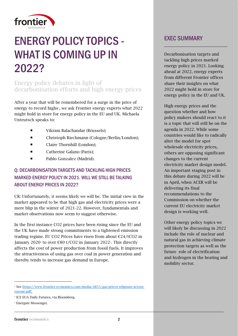

# ENERGY POLICY TOPICS - WHAT IS COMING UP IN 2022?

# Energy policy debates in light of decarbonisation efforts and high energy prices

After a year that will be remembered for a surge in the price of energy to record highs<sup>1</sup>, we ask Frontier energy experts what 2022 might hold in store for energy policy in the EU and UK. Michaela Unteutsch speaks to:

- Vikram Balachandar (Brussels);
- Christoph Riechmann (Cologne/Berlin/London);
- Claire Thornhill (London);
- Catherine Galano (Paris):
- Pablo Gonzalez (Madrid).

# Q: DECARBONISATION TARGETS AND TACKLING HIGH PRICES MARKED ENERGY POLICY IN 2021. WILL WE STILL BE TALKING ABOUT ENERGY PRICES IN 2022?

CR: Unfortunately, it seems likely we will be. The initial view in the market appeared to be that high gas and electricity prices were a mere blip in the winter of 2021-22. However, fundamentals and market observations now seem to suggest otherwise.

In the first instance CO2 prices have been rising since the EU and the UK have made strong commitments to a tightened emission trading regime. EU CO2 Prices have risen from about €24/tCO2 in January 2020<sup>2</sup> to over  $\epsilon$ 80 t/CO2 in January 2022<sup>3</sup>. This directly affects the cost of power production from fossil fuels. It improves the attractiveness of using gas over coal in power generation and thereby tends to increase gas demand in Europe.

# **FXFC SUMMARY**

Decarbonisation targets and tackling high prices marked energy policy in 2021. Looking ahead at 2022, energy experts from different Frontier offices share their insights on what 2022 might hold in store for energy policy in the EU and UK.

High energy prices and the question whether and how policy makers should react to it is a topic that will still be on the agenda in 2022. While some countries would like to radically alter the model for spot wholesale electricity prices, others are opposing significant changes to the current electricity market design model. An important staging post in this debate during 2022 will be in April, when ACER will be delivering its final recommendations to the Commission on whether the current EU electricity market design is working well.

Other energy policy topics we will likely be discussing in 2022 include the role of nuclear and natural gas in achieving climate protection targets as well as the future role of electrification and hydrogen in the heating and mobility sector.

<sup>1</sup> See [https://www.frontier-economics.com/media/4855/gas-prices-whipsaw-across](https://www.frontier-economics.com/media/4855/gas-prices-whipsaw-across-europe.pdf)[europe.pdf.](https://www.frontier-economics.com/media/4855/gas-prices-whipsaw-across-europe.pdf)

<sup>2</sup> ICE EUA Daily Futures, via Bloomberg.

<sup>3</sup> Energate Messenger.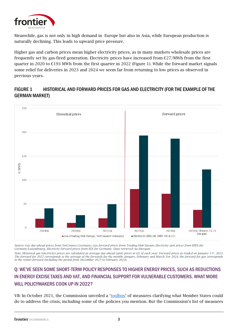

Meanwhile, gas is not only in high demand in Europe but also in Asia, while European production is naturally declining. This leads to upward price pressure.

Higher gas and carbon prices mean higher electricity prices, as in many markets wholesale prices are frequently set by gas-fired generation. Electricity prices have increased from  $\epsilon$ 27/MWh from the first quarter in 2020 to €193 MWh from the first quarter in 2022 (Figure 1). While the forward market signals some relief for deliveries in 2023 and 2024 we seem far from returning to low prices as observed in previous years.

#### FIGURE 1 HISTORICAL AND FORWARD PRICES FOR GAS AND ELECTRICITY (FOR THE EXAMPLE OF THE GERMAN MARKET)



*Source: Gas day-ahead prices from NetConnect Germany; Gas forward prices from Trading Hub Europe; Electricity spot prices from EPEX for Germany/Luxembourg, Electricity forward prices from EEX for Germany. Data retrieved via Energate*

*Note: Historical gas (electricity) prices are calculated as average day-ahead (spot) prices in Q1 of each year. Forward prices as traded on January 11th, 2022. The forward for 2022 corresponds to the average of the forwards for the months January, February and March. For 2024, the forward for gas corresponds to the winter-forward (including the period from December 2023 to February 2024).* 

# Q: WE'VE SEEN SOME SHORT-TERM POLICY RESPONSES TO HIGHER ENERGY PRICES, SUCH AS REDUCTIONS IN ENERGY EXCISE TAXES AND VAT, AND FINANCIAL SUPPORT FOR VULNERABLE CUSTOMERS. WHAT MORE WILL POLICYMAKERS COOK UP IN 2022?

VB: In October 2021, the Commission unveiled a '[toolbox](https://ec.europa.eu/commission/presscorner/detail/en/IP_21_5204)' of measures clarifying what Member States could do to address the crisis, including some of the policies you mention. But the Commission's list of measures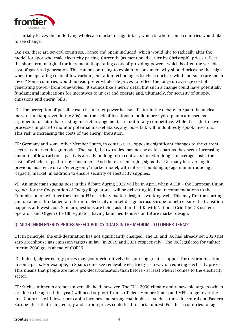

essentially leaves the underlying wholesale market design intact, which is where some countries would like to see change.

CG: Yes, there are several countries, France and Spain included, which would like to radically alter the model for spot wholesale electricity pricing. Currently (as mentioned earlier by Christoph), prices reflect the short-term marginal (or incremental) operating costs of providing power – which is often the variable cost of gas-fired generation. This can be confusing to explain to consumers why should prices be that high when the operating costs of low-carbon generation technologies (such as nuclear, wind and solar) are much lower? Some countries would instead prefer wholesale prices to reflect the long-run average cost of generating power (from renewables). It sounds like a nerdy detail but such a change could have potentially fundamental implications for incentives to invest and operate and, ultimately, for security of supply, emissions and energy bills.

PG: The perception of possible exercise market power is also a factor in the debate. In Spain the nuclear moratorium (approved in the 80s) and the lack of locations to build more hydro plants are used as arguments to claim that existing market arrangements are not totally competitive. While it's right to have processes in place to monitor potential market abuse, any loose talk will undoubtedly spook investors. This risk is increasing the costs of the energy transition.

CR: Germany and some other Member States, in contrast, are opposing significant changes to the current electricity market design model. That said, the two sides may not be as far apart as they seem. Increasing amounts of low-carbon capacity is already on long-term contracts linked to long-run average costs, the costs of which are paid for by consumers. And there are emerging signs that Germany is reversing its previous insistence on an 'energy-only' market model, with interest bubbling up again in introducing a 'capacity market' in addition to ensure security of electricity supplies.

VB: An important staging post in this debate during 2022 will be in April, when ACER – the European Union Agency for the Cooperation of Energy Regulators - will be delivering its final recommendations to the Commission on whether the current EU electricity market design is working well. This may fire the starting gun on a more fundamental reform to electricity market design across Europe to help ensure the transition happens at lowest cost. Similar questions are being asked in the UK, with National Grid (the GB system operator) and Ofgem (the GB regulator) having launched tenders on future market design.

#### Q: MIGHT HIGH ENERGY PRICES AFFECT POLICY GOALS IN THE MEDIUM-TO LONGER-TERM?

CT: In principle, the end-destination has not significantly changed. The EU and UK had already set 2050 net zero greenhouse gas emission targets in law (in 2019 and 2021 respectively). The UK legislated for tighter interim 2030 goals ahead of COP26.

PG: Indeed, higher energy prices may (counterintuitively) be spurring greater support for decarbonisation in some parts. For example, in Spain, some see renewable electricity as a way of reducing electricity prices. This means that people are more pro-decarbonisation than before - at least when it comes to the electricity sector.

CR: Such sentiments are not universally held, however. The EU's 2030 climate and renewable targets (which are due to be agreed this year) will need support from sufficient Member States and MEPs to get over the line. Countries with lower per capita incomes and strong coal lobbies – such as those in central and Eastern Europe - fear that rising energy and carbon prices could lead to social unrest. For these countries to tag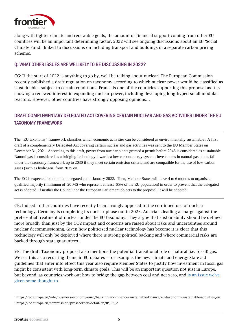

along with tighter climate and renewable goals, the amount of financial support coming from other EU countries will be an important determining factor. 2022 will see ongoing discussions about an EU 'Social Climate Fund' (linked to discussions on including transport and buildings in a separate carbon pricing scheme).

#### Q: WHAT OTHER ISSUES ARE WE LIKELY TO BE DISCUSSING IN 2022?

CG: If the start of 2022 is anything to go by, we'll be talking about nuclear! The European Commission recently published a draft regulation on taxonomy according to which nuclear power would be classified as 'sustainable', subject to certain conditions. France is one of the countries supporting this proposal as it is showing a renewed interest in expanding nuclear power, including developing long-hyped small modular reactors. However, other countries have strongly opposing opinions…

# DRAFT COMPLEMENTARY DELEGATED ACT COVERING CERTAIN NUCLEAR AND GAS ACTIVITIES UNDER THE EU TAXONOMY FRAMEWORK

The "EU taxonomy" framework classifies which economic activities can be considered as environmentally sustainable<sup>4</sup> . A first draft of a complementary Delegated Act covering certain nuclear and gas activities was sent to the EU Member States on December 31, 2021. According to this draft, power from nuclear plants granted a permit before 2045 is considered as sustainable. Natural gas is considered as a bridging-technology towards a low carbon energy system. Investments in natural gas plants fall under the taxonomy framework up to 2030 if they meet certain emission criteria and are compatible for the use of low-carbon gases (such as hydrogen) from 2035 on.

The EC is expected to adopt the delegated act in January 2022. Then, Member States will have 4 to 6 months to organise a qualified majority (minimum of 20 MS who represent at least 65% of the EU population) in order to prevent that the delegated act is adopted. If neither the Council nor the European Parliament objects to the proposal, it will be adopted. 5

CR: Indeed - other countries have recently been strongly opposed to the continued use of nuclear technology. Germany is completing its nuclear phase out in 2023. Austria is leading a charge against the preferential treatment of nuclear under the EU taxonomy. They argue that sustainability should be defined more broadly than just by the CO2 impact and concerns are raised about risks and uncertainties around nuclear decommissioning. Given how politicised nuclear technology has become it is clear that this technology will only be deployed where there is strong political backing and where commercial risks are backed through state guarantees..

VB: The draft Taxonomy proposal also mentions the potential transitional role of natural (i.e. fossil) gas. We see this as a recurring theme in EU debates – for example, the new climate and energy State aid guidelines that enter into effect this year also require Member States to justify how investment in fossil gas might be consistent with long-term climate goals. This will be an important question not just in Europe, but beyond, as countries work out how to bridge the gap between coal and net zero, and is an issue we've [given some thought to.](https://www.frontier-economics.com/uk/en/news-and-articles/articles/article-i8805-lock-in-all-over-the-world/) 

<sup>4</sup> https://ec.europa.eu/info/business-economy-euro/banking-and-finance/sustainable-finance/eu-taxonomy-sustainable-activities\_en <sup>5</sup> https://ec.europa.eu/commission/presscorner/detail/en/IP\_22\_2